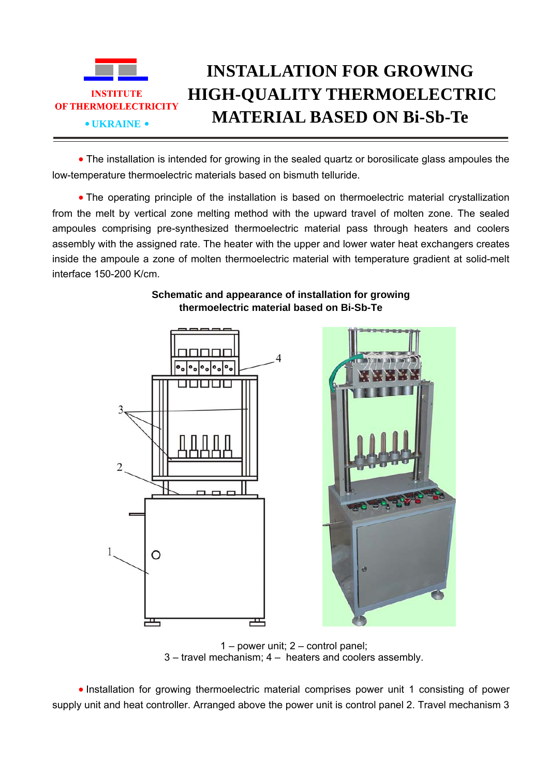

• The installation is intended for growing in the sealed quartz or borosilicate glass ampoules the low-temperature thermoelectric materials based on bismuth telluride.

• The operating principle of the installation is based on thermoelectric material crystallization from the melt by vertical zone melting method with the upward travel of molten zone. The sealed ampoules comprising pre-synthesized thermoelectric material pass through heaters and coolers assembly with the assigned rate. The heater with the upper and lower water heat exchangers creates inside the ampoule a zone of molten thermoelectric material with temperature gradient at solid-melt interface 150-200 K/сm.

## **Schematic and appearance of installation for growing thermoelectric material based on Bi-Sb-Te**





1 – power unit; 2 – control panel; 3 – travel mechanism; 4 – heaters and coolers assembly.

• Installation for growing thermoelectric material comprises power unit 1 consisting of power supply unit and heat controller. Arranged above the power unit is control panel 2. Travel mechanism 3